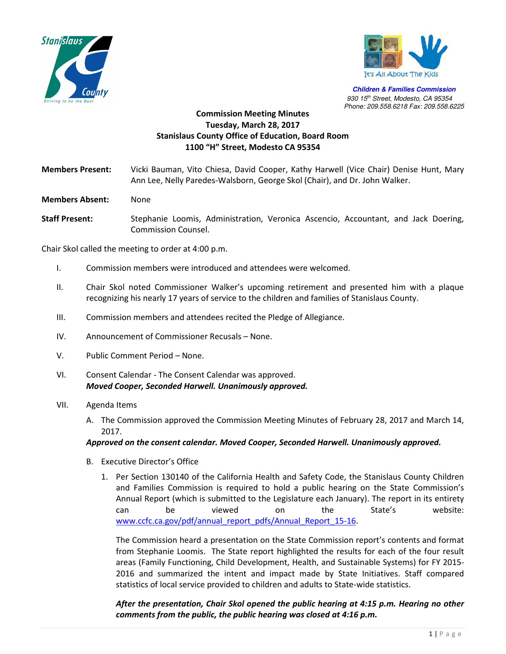



**Children & Families Commission**   *930 15th Street, Modesto, CA 95354 Phone: 209.558.6218 Fax: 209.558.6225*

## **Commission Meeting Minutes Tuesday, March 28, 2017 Stanislaus County Office of Education, Board Room 1100 "H" Street, Modesto CA 95354**

**Members Present:** Vicki Bauman, Vito Chiesa, David Cooper, Kathy Harwell (Vice Chair) Denise Hunt, Mary Ann Lee, Nelly Paredes-Walsborn, George Skol (Chair), and Dr. John Walker.

- **Members Absent:** None
- **Staff Present:** Stephanie Loomis, Administration, Veronica Ascencio, Accountant, and Jack Doering, Commission Counsel.

Chair Skol called the meeting to order at 4:00 p.m.

- I. Commission members were introduced and attendees were welcomed.
- II. Chair Skol noted Commissioner Walker's upcoming retirement and presented him with a plaque recognizing his nearly 17 years of service to the children and families of Stanislaus County.
- III. Commission members and attendees recited the Pledge of Allegiance.
- IV. Announcement of Commissioner Recusals None.
- V. Public Comment Period None.
- VI. Consent Calendar The Consent Calendar was approved. *Moved Cooper, Seconded Harwell. Unanimously approved.*

## VII. Agenda Items

A. The Commission approved the Commission Meeting Minutes of February 28, 2017 and March 14, 2017.

## *Approved on the consent calendar. Moved Cooper, Seconded Harwell. Unanimously approved.*

- B. Executive Director's Office
	- 1. Per Section 130140 of the California Health and Safety Code, the Stanislaus County Children and Families Commission is required to hold a public hearing on the State Commission's Annual Report (which is submitted to the Legislature each January). The report in its entirety can be viewed on the State's website: www.ccfc.ca.gov/pdf/annual\_report\_pdfs/Annual\_Report\_15-16.

The Commission heard a presentation on the State Commission report's contents and format from Stephanie Loomis. The State report highlighted the results for each of the four result areas (Family Functioning, Child Development, Health, and Sustainable Systems) for FY 2015- 2016 and summarized the intent and impact made by State Initiatives. Staff compared statistics of local service provided to children and adults to State-wide statistics.

*After the presentation, Chair Skol opened the public hearing at 4:15 p.m. Hearing no other comments from the public, the public hearing was closed at 4:16 p.m.*